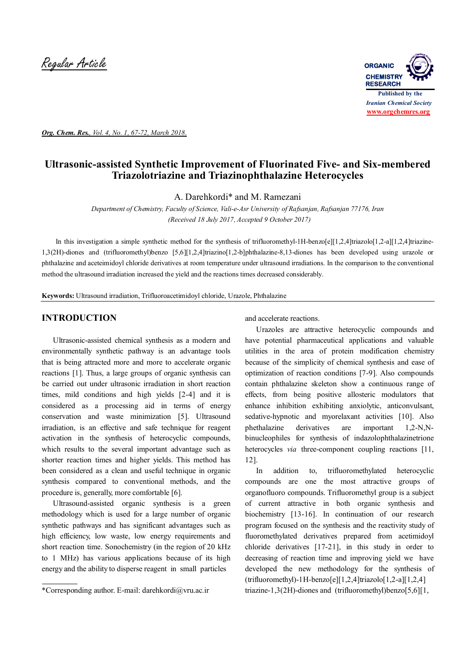Regular Article **ORGANIC**



*Org. Chem. Res., Vol. 4, No. 1, 67-72, March 2018.*

# **Ultrasonic-assisted Synthetic Improvement of Fluorinated Five- and Six-membered Triazolotriazine and Triazinophthalazine Heterocycles**

A. Darehkordi\* and M. Ramezani

*Department of Chemistry, Faculty of Science, Vali-e-Asr University of Rafsanjan, Rafsanjan 77176, Iran (Received 18 July 2017, Accepted 9 October 2017)*

In this investigation a simple synthetic method for the synthesis of trifluoromethyl-1H-benzo[e][1,2,4]triazolo[1,2-a][1,2,4]triazine-1,3(2H)-diones and (trifluoromethyl)benzo [5,6][1,2,4]triazino[1,2-b]phthalazine-8,13-diones has been developed using urazole or phthalazine and aceteimidoyl chloride derivatives at room temperature under ultrasound irradiations. In the comparison to the conventional method the ultrasound irradiation increased the yield and the reactions times decreased considerably.

**Keywords:** Ultrasound irradiation, Trifluoroacetimidoyl chloride, Urazole, Phthalazine

## **INTRODUCTION**

 Ultrasonic-assisted chemical synthesis as a modern and environmentally synthetic pathway is an advantage tools that is being attracted more and more to accelerate organic reactions [1]. Thus, a large groups of organic synthesis can be carried out under ultrasonic irradiation in short reaction times, mild conditions and high yields [2-4] and it is considered as a processing aid in terms of energy conservation and waste minimization [5]. Ultrasound irradiation, is an effective and safe technique for reagent activation in the synthesis of heterocyclic compounds, which results to the several important advantage such as shorter reaction times and higher yields. This method has been considered as a clean and useful technique in organic synthesis compared to conventional methods, and the procedure is, generally, more comfortable [6].

 Ultrasound-assisted organic synthesis is a green methodology which is used for a large number of organic synthetic pathways and has significant advantages such as high efficiency, low waste, low energy requirements and short reaction time. Sonochemistry (in the region of 20 kHz to 1 MHz) has various applications because of its high energy and the ability to disperse reagent in small particles

and accelerate reactions.

 Urazoles are attractive heterocyclic compounds and have potential pharmaceutical applications and valuable utilities in the area of protein modification chemistry because of the simplicity of chemical synthesis and ease of optimization of reaction conditions [7-9]. Also compounds contain phthalazine skeleton show a continuous range of effects, from being positive allosteric modulators that enhance inhibition exhibiting anxiolytic, anticonvulsant, sedative-hypnotic and myorelaxant activities [10]. Also phethalazine derivatives are important 1,2-N,Nbinucleophiles for synthesis of indazolophthalazinetrione heterocycles *via* three-component coupling reactions [11, 12].

 In addition to, trifluoromethylated heterocyclic compounds are one the most attractive groups of organofluoro compounds. Trifluoromethyl group is a subject of current attractive in both organic synthesis and biochemistry [13-16]. In continuation of our research program focused on the synthesis and the reactivity study of fluoromethylated derivatives prepared from acetimidoyl chloride derivatives [17-21], in this study in order to decreasing of reaction time and improving yield we have developed the new methodology for the synthesis of  $(trifluorometry] -1 H-benzo[e][1,2,4]triazolo[1,2-a][1,2,4]$ triazine-1,3(2H)-diones and (trifluoromethyl)benzo[5,6][1,

<sup>\*</sup>Corresponding author. E-mail: darehkordi@vru.ac.ir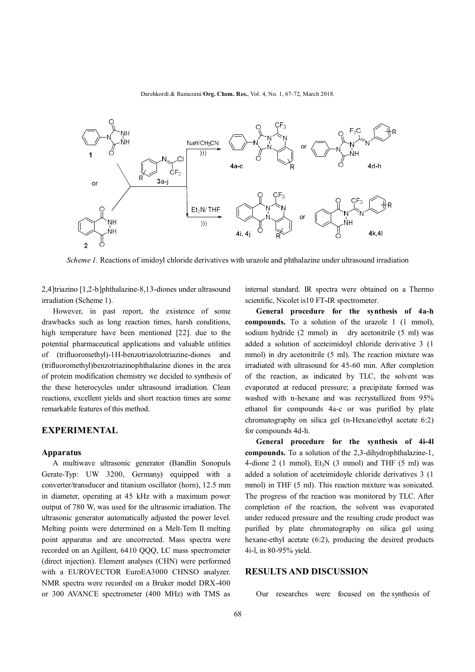Darehkordi & Ramezani/**Org. Chem. Res.**, Vol. 4, No. 1, 67-72, March 2018.



*Scheme 1.* Reactions of imidoyl chloride derivatives with urazole and phthalazine under ultrasound irradiation

2,4]triazino [1,2-b]phthalazine-8,13-diones under ultrasound irradiation (Scheme 1).

 However, in past report, the existence of some drawbacks such as long reaction times, harsh conditions, high temperature have been mentioned [22]. due to the potential pharmaceutical applications and valuable utilities of (trifluoromethyl)-1H-benzotriazolotriazine-diones and (trifluoromethyl)benzotriazinophthalazine diones in the area of protein modification chemistry we decided to synthesis of the these heterocycles under ultrasound irradiation. Clean reactions, excellent yields and short reaction times are some remarkable features of this method.

#### **EXPERIMENTAL**

#### **Apparatus**

 A multiwave ultrasonic generator (Bandlin Sonopuls Gerate-Typ: UW 3200, Germany) equipped with a converter/transducer and titanium oscillator (horn), 12.5 mm in diameter, operating at 45 kHz with a maximum power output of 780 W, was used for the ultrasonic irradiation. The ultrasonic generator automatically adjusted the power level. Melting points were determined on a Melt-Tem II melting point apparatus and are uncorrected. Mass spectra were recorded on an Agillent, 6410 QQQ, LC mass spectrometer (direct injection). Element analyses (CHN) were performed with a EUROVECTOR EuroEA3000 CHNSO analyzer. NMR spectra were recorded on a Bruker model DRX-400 or 300 AVANCE spectrometer (400 MHz) with TMS as

internal standard. IR spectra were obtained on a Thermo scientific, Nicolet is10 FT**-**IR spectrometer.

 **General procedure for the synthesis of 4a-h compounds.** To a solution of the urazole 1 (1 mmol), sodium hydride (2 mmol) in dry acetonitrile (5 ml) was added a solution of aceteimidoyl chloride derivative 3 (1 mmol) in dry acetonitrile (5 ml). The reaction mixture was irradiated with ultrasound for 45-60 min. After completion of the reaction, as indicated by TLC, the solvent was evaporated at reduced pressure; a precipitate formed was washed with n-hexane and was recrystallized from 95% ethanol for compounds 4a-c or was purified by plate chromatography on silica gel (n-Hexane/ethyl acetate 6:2) for compounds 4d-h.

 **General procedure for the synthesis of 4i-4l compounds.** To a solution of the 2,3-dihydrophthalazine-1, 4-dione 2 (1 mmol),  $Et_3N$  (3 mmol) and THF (5 ml) was added a solution of aceteimidoyle chloride derivatives 3 (1 mmol) in THF (5 ml). This reaction mixture was sonicated. The progress of the reaction was monitored by TLC. After completion of the reaction, the solvent was evaporated under reduced pressure and the resulting crude product was purified by plate chromatography on silica gel using hexane-ethyl acetate (6:2), producing the desired products 4i-l, in 80-95% yield.

# **RESULTS AND DISCUSSION**

Our researches were focused on the synthesis of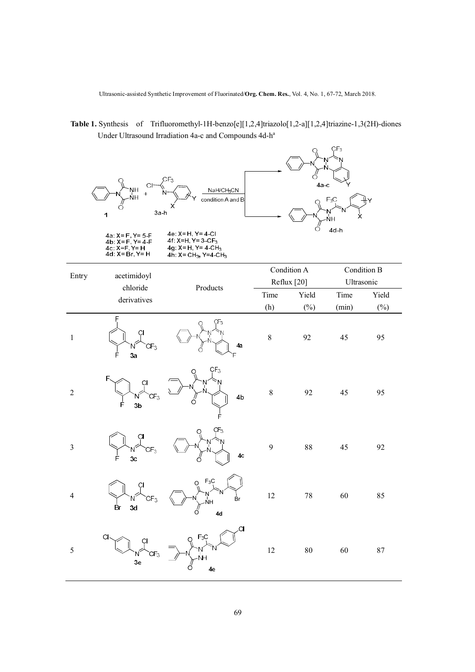Ultrasonic-assisted Synthetic Improvement of Fluorinated/**Org. Chem. Res.**, Vol. 4, No. 1, 67-72, March 2018.

 **Table 1.** Synthesis of Trifluoromethyl-1H-benzo[e][1,2,4]triazolo[1,2-a][1,2,4]triazine-1,3(2H)-diones Under Ultrasound Irradiation 4a-c and Compounds 4d-h a

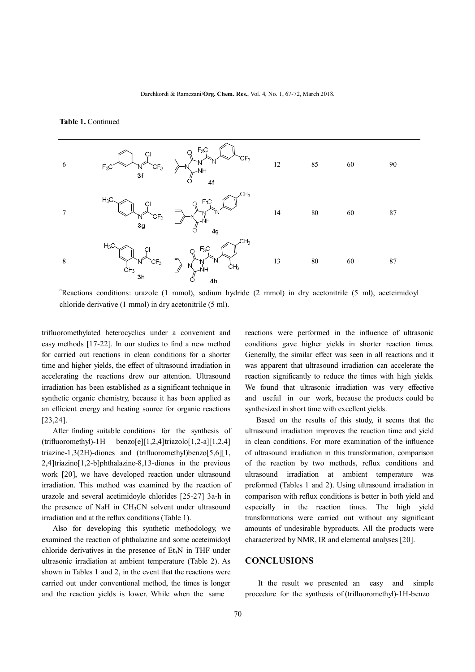#### **Table 1.** Continued





trifluoromethylated heterocyclics under a convenient and easy methods [17-22]. In our studies to find a new method for carried out reactions in clean conditions for a shorter time and higher yields, the effect of ultrasound irradiation in accelerating the reactions drew our attention. Ultrasound irradiation has been established as a significant technique in synthetic organic chemistry, because it has been applied as an efficient energy and heating source for organic reactions [23,24].

 After finding suitable conditions for the synthesis of  $(trifluoromethyl)-1H \quad \text{benzo} [e][1,2,4] \text{triazolo} [1,2-a][1,2,4]$ triazine-1,3(2H)-diones and (trifluoromethyl)benzo[5,6][1, 2,4]triazino[1,2-b]phthalazine-8,13-diones in the previous work [20], we have developed reaction under ultrasound irradiation. This method was examined by the reaction of urazole and several acetimidoyle chlorides [25-27] 3a-h in the presence of NaH in CH<sub>3</sub>CN solvent under ultrasound irradiation and at the reflux conditions (Table 1).

 Also for developing this synthetic methodology, we examined the reaction of phthalazine and some aceteimidoyl chloride derivatives in the presence of  $Et<sub>3</sub>N$  in THF under ultrasonic irradiation at ambient temperature (Table 2). As shown in Tables 1 and 2, in the event that the reactions were carried out under conventional method, the times is longer and the reaction yields is lower. While when the same

reactions were performed in the influence of ultrasonic conditions gave higher yields in shorter reaction times. Generally, the similar effect was seen in all reactions and it was apparent that ultrasound irradiation can accelerate the reaction significantly to reduce the times with high yields. We found that ultrasonic irradiation was very effective and useful in our work, because the products could be synthesized in short time with excellent yields.

 Based on the results of this study, it seems that the ultrasound irradiation improves the reaction time and yield in clean conditions. For more examination of the influence of ultrasound irradiation in this transformation, comparison of the reaction by two methods, reflux conditions and ultrasound irradiation at ambient temperature was preformed (Tables 1 and 2). Using ultrasound irradiation in comparison with reflux conditions is better in both yield and especially in the reaction times. The high yield transformations were carried out without any significant amounts of undesirable byproducts. All the products were characterized by NMR, IR and elemental analyses [20].

#### **CONCLUSIONS**

 It the result we presented an easy and simple procedure for the synthesis of (trifluoromethyl)-1H-benzo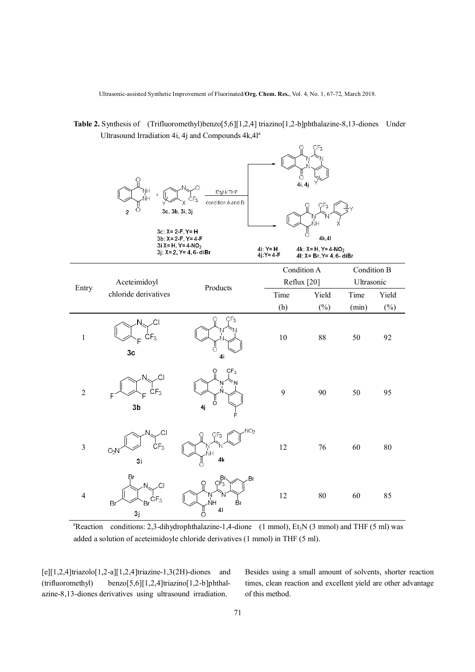Ultrasonic-assisted Synthetic Improvement of Fluorinated/**Org. Chem. Res.**, Vol. 4, No. 1, 67-72, March 2018.

 **Table 2.** Synthesis of (Trifluoromethyl)benzo[5,6][1,2,4] triazino[1,2-b]phthalazine-8,13-diones Under Ultrasound Irradiation 4i, 4j and Compounds  $4k,4l^a$ 

 $\cap$  $CE<sub>2</sub>$ 

|                         | ဝူ<br>NH<br>NH<br>ö<br>$\mathbf{2}$                                       | Et3N/THF<br>$\mathsf{CF}_3$<br>condition A and B<br>3c, 3b, 3i, 3j<br>3c: X= 2-F, Y= H<br>3b: X= 2-F, Y= 4-F<br>3i X= H, Y= 4-NO <sub>2</sub><br>3j: X= 2, Y= 4, 6- diBr | 4i: Y= H     | Ö<br>4i, 4j<br>CF <sub>3</sub><br>ŃΗ<br>$\frac{1}{\circ}$<br>4k,4l<br>4k: $X = H$ , $Y = 4-NO2$ |             |            |  |
|-------------------------|---------------------------------------------------------------------------|--------------------------------------------------------------------------------------------------------------------------------------------------------------------------|--------------|-------------------------------------------------------------------------------------------------|-------------|------------|--|
|                         |                                                                           |                                                                                                                                                                          | $4j:Y = 4-F$ | 41: X= Br, Y= 4, 6- diBr<br>Condition A                                                         | Condition B |            |  |
| Entry                   | Aceteimidoyl<br>chloride derivatives                                      | Products                                                                                                                                                                 |              | Reflux [20]                                                                                     |             | Ultrasonic |  |
|                         |                                                                           |                                                                                                                                                                          | Time         | Yield                                                                                           | Time        | Yield      |  |
|                         |                                                                           |                                                                                                                                                                          | (h)          | $(\%)$                                                                                          | (min)       | $(\%)$     |  |
| $\,1\,$                 | .CI<br>N.<br>CF <sub>3</sub><br>Ė.<br>3 <sub>c</sub>                      | O<br>CF <sub>3</sub><br>ပ္ပ<br>4 <sub>i</sub>                                                                                                                            | 10           | 88                                                                                              | 50          | 92         |  |
| $\overline{2}$          | .CI<br>CF <sub>3</sub><br>F<br>3 <sub>b</sub>                             | CF <sub>3</sub><br>O<br>Ö<br>4j                                                                                                                                          | 9            | 90                                                                                              | 50          | 95         |  |
| $\overline{\mathbf{3}}$ | CI<br>$\dot{\text{c}}$ <sub>5</sub><br>O <sub>2</sub> N<br>3 <sub>i</sub> | NO <sub>2</sub><br>ÇF <sub>3</sub><br>NΗ<br>4k<br>ő                                                                                                                      | 12           | 76                                                                                              | 60          | 80         |  |
| $\overline{4}$          | Br<br>.CI<br>CF <sub>3</sub><br>Br<br>Br<br>3j                            | Br<br>Br<br>CF <sub>3</sub><br>ဝူ<br>Ņ<br>N<br>NH<br>Br<br>$\mathbf{4}$<br>ပ္ပိ                                                                                          | 12           | $80\,$                                                                                          | 60          | 85         |  |

<sup>a</sup>Reaction conditions: 2,3-dihydrophthalazine-1,4-dione (1 mmol), Et<sub>3</sub>N (3 mmol) and THF (5 ml) was added a solution of aceteimidoyle chloride derivatives (1 mmol) in THF (5 ml).

 $[e][1,2,4]$ triazolo $[1,2-a][1,2,4]$ triazine-1,3(2H)-diones and (trifluoromethyl) benzo[5,6][1,2,4]triazino[1,2-b]phthalazine-8,13-diones derivatives using ultrasound irradiation.

Besides using a small amount of solvents, shorter reaction times, clean reaction and excellent yield are other advantage of this method.